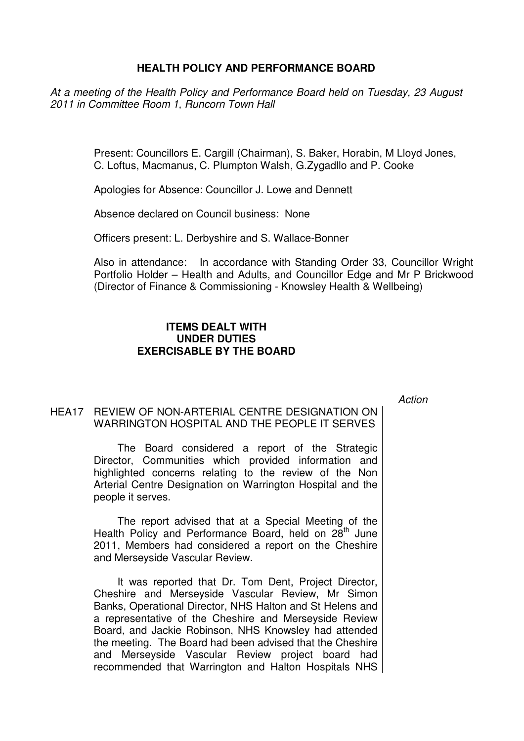## **HEALTH POLICY AND PERFORMANCE BOARD**

At a meeting of the Health Policy and Performance Board held on Tuesday, 23 August 2011 in Committee Room 1, Runcorn Town Hall

> Present: Councillors E. Cargill (Chairman), S. Baker, Horabin, M Lloyd Jones, C. Loftus, Macmanus, C. Plumpton Walsh, G.Zygadllo and P. Cooke

Apologies for Absence: Councillor J. Lowe and Dennett

Absence declared on Council business: None

Officers present: L. Derbyshire and S. Wallace-Bonner

Also in attendance: In accordance with Standing Order 33, Councillor Wright Portfolio Holder – Health and Adults, and Councillor Edge and Mr P Brickwood (Director of Finance & Commissioning - Knowsley Health & Wellbeing)

## **ITEMS DEALT WITH UNDER DUTIES EXERCISABLE BY THE BOARD**

**Action** 

## HEA17 REVIEW OF NON-ARTERIAL CENTRE DESIGNATION ON WARRINGTON HOSPITAL AND THE PEOPLE IT SERVES

 The Board considered a report of the Strategic Director, Communities which provided information and highlighted concerns relating to the review of the Non Arterial Centre Designation on Warrington Hospital and the people it serves.

The report advised that at a Special Meeting of the Health Policy and Performance Board, held on 28<sup>th</sup> June 2011, Members had considered a report on the Cheshire and Merseyside Vascular Review.

It was reported that Dr. Tom Dent, Project Director, Cheshire and Merseyside Vascular Review, Mr Simon Banks, Operational Director, NHS Halton and St Helens and a representative of the Cheshire and Merseyside Review Board, and Jackie Robinson, NHS Knowsley had attended the meeting. The Board had been advised that the Cheshire and Merseyside Vascular Review project board had recommended that Warrington and Halton Hospitals NHS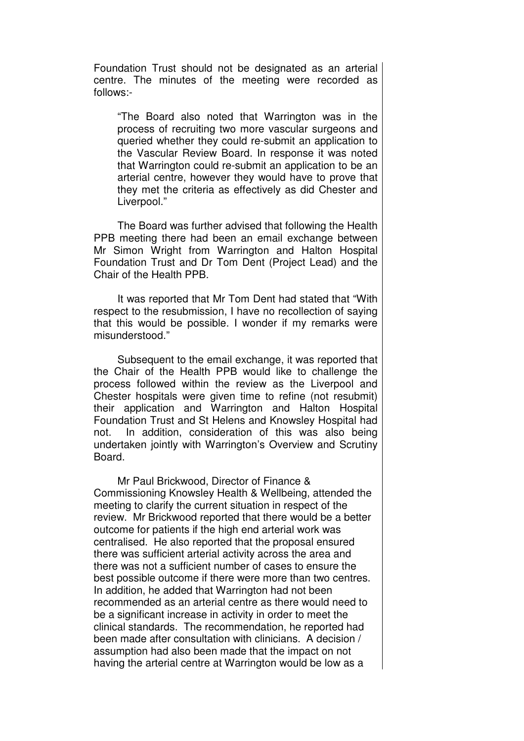Foundation Trust should not be designated as an arterial centre. The minutes of the meeting were recorded as follows:-

"The Board also noted that Warrington was in the process of recruiting two more vascular surgeons and queried whether they could re-submit an application to the Vascular Review Board. In response it was noted that Warrington could re-submit an application to be an arterial centre, however they would have to prove that they met the criteria as effectively as did Chester and Liverpool."

The Board was further advised that following the Health PPB meeting there had been an email exchange between Mr Simon Wright from Warrington and Halton Hospital Foundation Trust and Dr Tom Dent (Project Lead) and the Chair of the Health PPB.

It was reported that Mr Tom Dent had stated that "With respect to the resubmission, I have no recollection of saying that this would be possible. I wonder if my remarks were misunderstood."

Subsequent to the email exchange, it was reported that the Chair of the Health PPB would like to challenge the process followed within the review as the Liverpool and Chester hospitals were given time to refine (not resubmit) their application and Warrington and Halton Hospital Foundation Trust and St Helens and Knowsley Hospital had not. In addition, consideration of this was also being undertaken jointly with Warrington's Overview and Scrutiny Board.

Mr Paul Brickwood, Director of Finance & Commissioning Knowsley Health & Wellbeing, attended the meeting to clarify the current situation in respect of the review. Mr Brickwood reported that there would be a better outcome for patients if the high end arterial work was centralised. He also reported that the proposal ensured there was sufficient arterial activity across the area and there was not a sufficient number of cases to ensure the best possible outcome if there were more than two centres. In addition, he added that Warrington had not been recommended as an arterial centre as there would need to be a significant increase in activity in order to meet the clinical standards. The recommendation, he reported had been made after consultation with clinicians. A decision / assumption had also been made that the impact on not having the arterial centre at Warrington would be low as a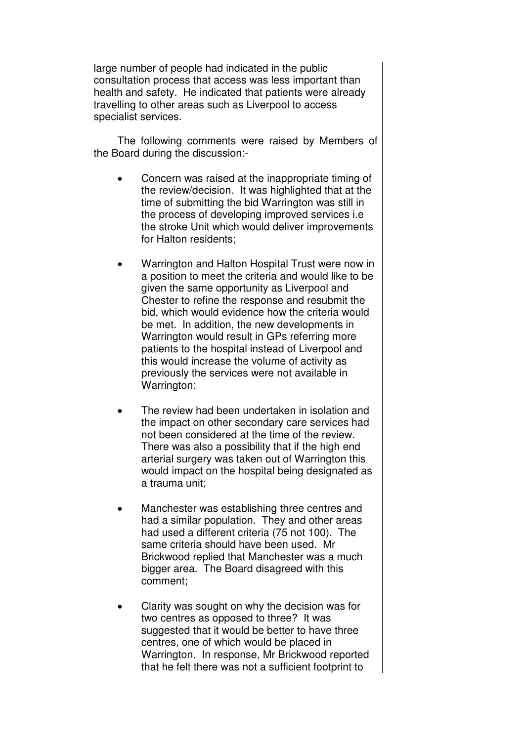large number of people had indicated in the public consultation process that access was less important than health and safety. He indicated that patients were already travelling to other areas such as Liverpool to access specialist services.

The following comments were raised by Members of the Board during the discussion:-

- Concern was raised at the inappropriate timing of the review/decision. It was highlighted that at the time of submitting the bid Warrington was still in the process of developing improved services i.e the stroke Unit which would deliver improvements for Halton residents;
- Warrington and Halton Hospital Trust were now in a position to meet the criteria and would like to be given the same opportunity as Liverpool and Chester to refine the response and resubmit the bid, which would evidence how the criteria would be met. In addition, the new developments in Warrington would result in GPs referring more patients to the hospital instead of Liverpool and this would increase the volume of activity as previously the services were not available in Warrington:
- The review had been undertaken in isolation and the impact on other secondary care services had not been considered at the time of the review. There was also a possibility that if the high end arterial surgery was taken out of Warrington this would impact on the hospital being designated as a trauma unit;
- Manchester was establishing three centres and had a similar population. They and other areas had used a different criteria (75 not 100). The same criteria should have been used. Mr Brickwood replied that Manchester was a much bigger area. The Board disagreed with this comment;
- Clarity was sought on why the decision was for two centres as opposed to three? It was suggested that it would be better to have three centres, one of which would be placed in Warrington. In response, Mr Brickwood reported that he felt there was not a sufficient footprint to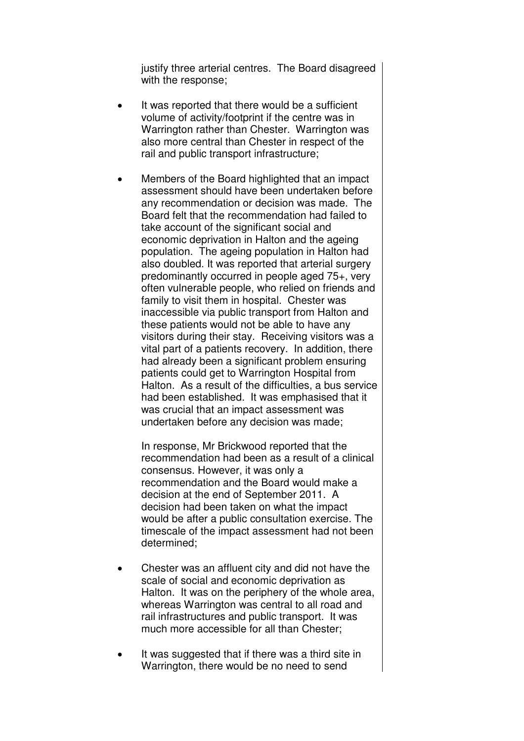justify three arterial centres. The Board disagreed with the response;

- It was reported that there would be a sufficient volume of activity/footprint if the centre was in Warrington rather than Chester. Warrington was also more central than Chester in respect of the rail and public transport infrastructure;
- Members of the Board highlighted that an impact assessment should have been undertaken before any recommendation or decision was made. The Board felt that the recommendation had failed to take account of the significant social and economic deprivation in Halton and the ageing population. The ageing population in Halton had also doubled. It was reported that arterial surgery predominantly occurred in people aged 75+, very often vulnerable people, who relied on friends and family to visit them in hospital. Chester was inaccessible via public transport from Halton and these patients would not be able to have any visitors during their stay. Receiving visitors was a vital part of a patients recovery. In addition, there had already been a significant problem ensuring patients could get to Warrington Hospital from Halton. As a result of the difficulties, a bus service had been established. It was emphasised that it was crucial that an impact assessment was undertaken before any decision was made;

In response, Mr Brickwood reported that the recommendation had been as a result of a clinical consensus. However, it was only a recommendation and the Board would make a decision at the end of September 2011. A decision had been taken on what the impact would be after a public consultation exercise. The timescale of the impact assessment had not been determined;

- Chester was an affluent city and did not have the scale of social and economic deprivation as Halton. It was on the periphery of the whole area, whereas Warrington was central to all road and rail infrastructures and public transport. It was much more accessible for all than Chester;
- It was suggested that if there was a third site in Warrington, there would be no need to send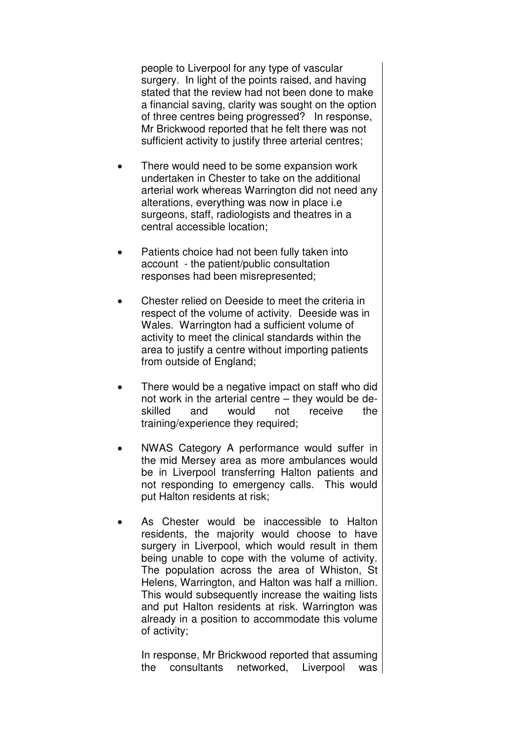people to Liverpool for any type of vascular surgery. In light of the points raised, and having stated that the review had not been done to make a financial saving, clarity was sought on the option of three centres being progressed? In response, Mr Brickwood reported that he felt there was not sufficient activity to justify three arterial centres;

- There would need to be some expansion work undertaken in Chester to take on the additional arterial work whereas Warrington did not need any alterations, everything was now in place i.e surgeons, staff, radiologists and theatres in a central accessible location;
- Patients choice had not been fully taken into account - the patient/public consultation responses had been misrepresented;
- Chester relied on Deeside to meet the criteria in respect of the volume of activity. Deeside was in Wales. Warrington had a sufficient volume of activity to meet the clinical standards within the area to justify a centre without importing patients from outside of England;
- There would be a negative impact on staff who did not work in the arterial centre – they would be deskilled and would not receive the training/experience they required;
- NWAS Category A performance would suffer in the mid Mersey area as more ambulances would be in Liverpool transferring Halton patients and not responding to emergency calls. This would put Halton residents at risk;
- As Chester would be inaccessible to Halton residents, the majority would choose to have surgery in Liverpool, which would result in them being unable to cope with the volume of activity. The population across the area of Whiston, St Helens, Warrington, and Halton was half a million. This would subsequently increase the waiting lists and put Halton residents at risk. Warrington was already in a position to accommodate this volume of activity;

In response, Mr Brickwood reported that assuming the consultants networked, Liverpool was